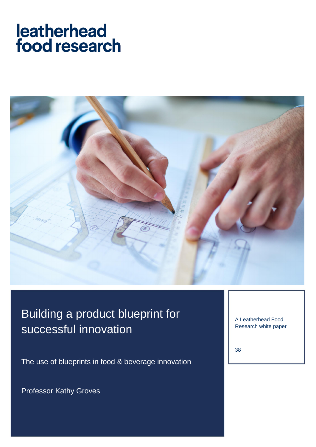# leatherhead food research



## Building a product blueprint for successful innovation

The use of blueprints in food & beverage innovation

Professor Kathy Groves

A Leatherhead Food Research white paper

38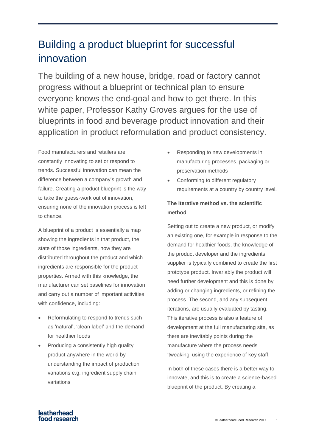### Building a product blueprint for successful innovation

The building of a new house, bridge, road or factory cannot progress without a blueprint or technical plan to ensure everyone knows the end-goal and how to get there. In this white paper, Professor Kathy Groves argues for the use of blueprints in food and beverage product innovation and their application in product reformulation and product consistency.

Food manufacturers and retailers are constantly innovating to set or respond to trends. Successful innovation can mean the difference between a company's growth and failure. Creating a product blueprint is the way to take the guess-work out of innovation, ensuring none of the innovation process is left to chance.

A blueprint of a product is essentially a map showing the ingredients in that product, the state of those ingredients, how they are distributed throughout the product and which ingredients are responsible for the product properties. Armed with this knowledge, the manufacturer can set baselines for innovation and carry out a number of important activities with confidence, including:

- Reformulating to respond to trends such as 'natural', 'clean label' and the demand for healthier foods
- Producing a consistently high quality product anywhere in the world by understanding the impact of production variations e.g. ingredient supply chain variations
- Responding to new developments in manufacturing processes, packaging or preservation methods
- Conforming to different regulatory requirements at a country by country level.

### **The iterative method vs. the scientific method**

Setting out to create a new product, or modify an existing one, for example in response to the demand for healthier foods, the knowledge of the product developer and the ingredients supplier is typically combined to create the first prototype product. Invariably the product will need further development and this is done by adding or changing ingredients, or refining the process. The second, and any subsequent iterations, are usually evaluated by tasting. This iterative process is also a feature of development at the full manufacturing site, as there are inevitably points during the manufacture where the process needs 'tweaking' using the experience of key staff.

In both of these cases there is a better way to innovate, and this is to create a science-based blueprint of the product. By creating a

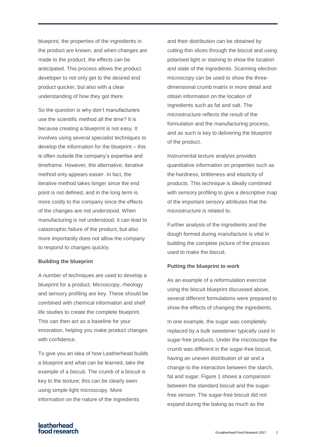blueprint, the properties of the ingredients in the product are known, and when changes are made to the product, the effects can be anticipated. This process allows the product developer to not only get to the desired end product quicker, but also with a clear understanding of how they got there.

So the question is why don't manufacturers use the scientific method all the time? It is because creating a blueprint is not easy. It involves using several specialist techniques to develop the information for the blueprint – this is often outside the company's expertise and timeframe. However, the alternative, iterative method only appears easier. In fact, the iterative method takes longer since the end point is not defined, and in the long term is more costly to the company since the effects of the changes are not understood. When manufacturing is not understood, it can lead to catastrophic failure of the product, but also more importantly does not allow the company to respond to changes quickly.

#### **Building the blueprint**

A number of techniques are used to develop a blueprint for a product. Microscopy, rheology and sensory profiling are key. These should be combined with chemical information and shelf life studies to create the complete blueprint. This can then act as a baseline for your innovation, helping you make product changes with confidence.

To give you an idea of how Leatherhead builds a blueprint and what can be learned, take the example of a biscuit. The crumb of a biscuit is key to the texture; this can be clearly seen using simple light microscopy. More information on the nature of the ingredients

and their distribution can be obtained by cutting thin slices through the biscuit and using polarised light or staining to show the location and state of the ingredients. Scanning electron microscopy can be used to show the threedimensional crumb matrix in more detail and obtain information on the location of ingredients such as fat and salt. The microstructure reflects the result of the formulation and the manufacturing process, and as such is key to delivering the blueprint of the product.

Instrumental texture analysis provides quantitative information on properties such as the hardness, brittleness and elasticity of products. This technique is ideally combined with sensory profiling to give a descriptive map of the important sensory attributes that the microstructure is related to.

Further analysis of the ingredients and the dough formed during manufacture is vital in building the complete picture of the process used to make the biscuit.

#### **Putting the blueprint to work**

As an example of a reformulation exercise using the biscuit blueprint discussed above, several different formulations were prepared to show the effects of changing the ingredients.

In one example, the sugar was completely replaced by a bulk sweetener typically used in sugar-free products. Under the microscope the crumb was different in the sugar-free biscuit, having an uneven distribution of air and a change to the interaction between the starch, fat and sugar. Figure 1 shows a comparison between the standard biscuit and the sugarfree version. The sugar-free biscuit did not expand during the baking as much as the

**Patherhead Expansion Control Control Control Control Control Control Control Control Cleatherhead Food Research 2017 2<br>
Cleatherhead Food Research 2017 2**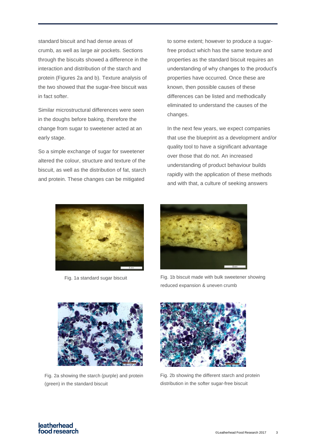standard biscuit and had dense areas of crumb, as well as large air pockets. Sections through the biscuits showed a difference in the interaction and distribution of the starch and protein (Figures 2a and b). Texture analysis of the two showed that the sugar-free biscuit was in fact softer.

Similar microstructural differences were seen in the doughs before baking, therefore the change from sugar to sweetener acted at an early stage.

So a simple exchange of sugar for sweetener altered the colour, structure and texture of the biscuit, as well as the distribution of fat, starch and protein. These changes can be mitigated

to some extent; however to produce a sugarfree product which has the same texture and properties as the standard biscuit requires an understanding of why changes to the product's properties have occurred. Once these are known, then possible causes of these differences can be listed and methodically eliminated to understand the causes of the changes.

In the next few years, we expect companies that use the blueprint as a development and/or quality tool to have a significant advantage over those that do not. An increased understanding of product behaviour builds rapidly with the application of these methods and with that, a culture of seeking answers





Fig. 1a standard sugar biscuit Fig. 1b biscuit made with bulk sweetener showing reduced expansion & uneven crumb



Fig. 2a showing the starch (purple) and protein (green) in the standard biscuit



Fig. 2b showing the different starch and protein distribution in the softer sugar-free biscuit

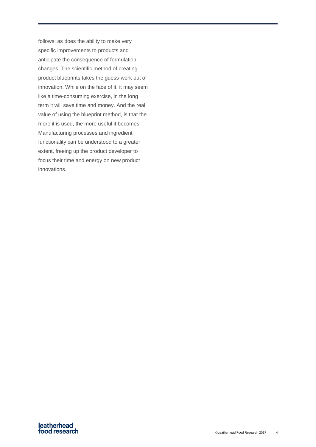follows; as does the ability to make very specific improvements to products and anticipate the consequence of formulation changes. The scientific method of creating product blueprints takes the guess-work out of innovation. While on the face of it, it may seem like a time-consuming exercise, in the long term it will save time and money. And the real value of using the blueprint method, is that the more it is used, the more useful it becomes. Manufacturing processes and ingredient functionality can be understood to a greater extent, freeing up the product developer to focus their time and energy on new product innovations.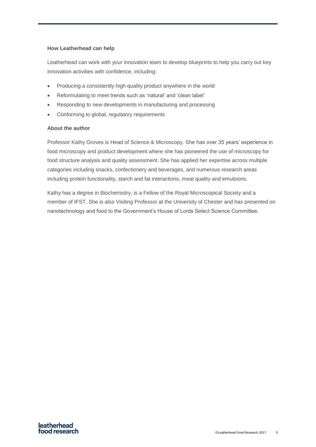#### **How Leatherhead can help**

Leatherhead can work with your innovation team to develop blueprints to help you carry out key innovation activities with confidence, including:

- Producing a consistently high quality product anywhere in the world
- Reformulating to meet trends such as 'natural' and 'clean label'
- Responding to new developments in manufacturing and processing
- Conforming to global, regulatory requirements

#### **About the author**

Professor Kathy Groves is Head of Science & Microscopy. She has over 35 years' experience in food microscopy and product development where she has pioneered the use of microscopy for food structure analysis and quality assessment. She has applied her expertise across multiple categories including snacks, confectionery and beverages, and numerous research areas including protein functionality, starch and fat interactions, meat quality and emulsions.

Kathy has a degree in Biochemistry, is a Fellow of the Royal Microscopical Society and a member of IFST. She is also Visiting Professor at the University of Chester and has presented on nanotechnology and food to the Government's House of Lords Select Science Committee.